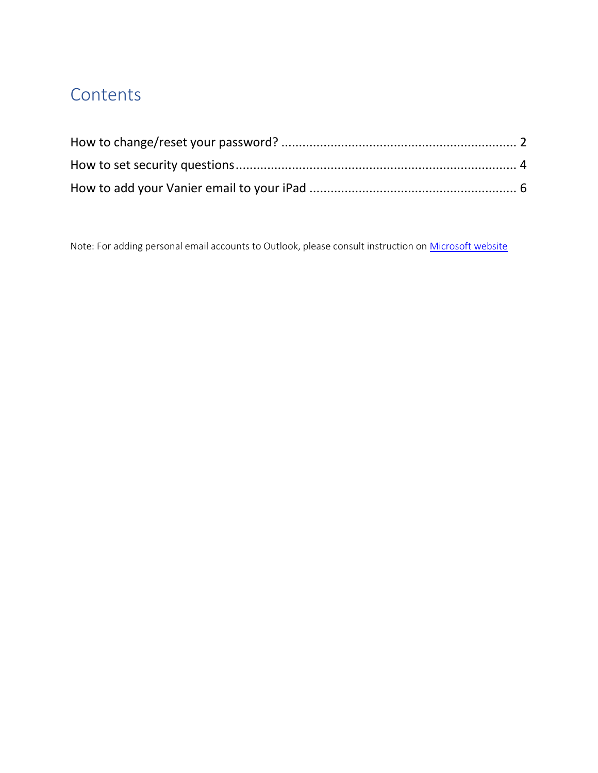## **Contents**

Note: For adding personal email accounts to Outlook, please consult instruction on [Microsoft website](https://support.microsoft.com/en-us/office/set-up-an-outlook-account-in-the-ios-mail-app-b2de2161-cc1d-49ef-9ef9-81acd1c8e234)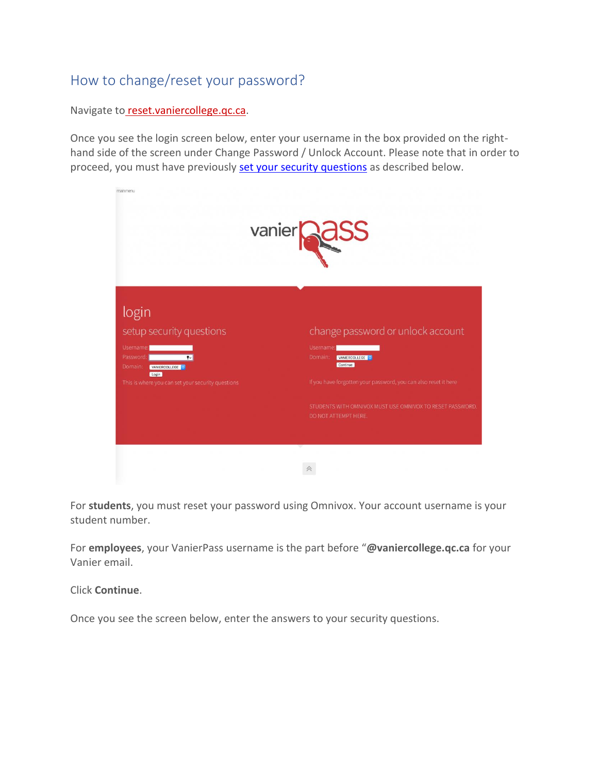## <span id="page-1-0"></span>How to change/reset your password?

Navigate to [reset.vaniercollege.qc.ca.](http://reset.vaniercollege.qc.ca/)

Once you see the login screen below, enter your username in the box provided on the righthand side of the screen under Change Password / Unlock Account. Please note that in order to proceed, you must have previously set your [security questions](#page-3-0) as described below.



For **students**, you must reset your password using Omnivox. Your account username is your student number.

For **employees**, your VanierPass username is the part before "**@vaniercollege.qc.ca** for your Vanier email.

Click **Continue**.

Once you see the screen below, enter the answers to your security questions.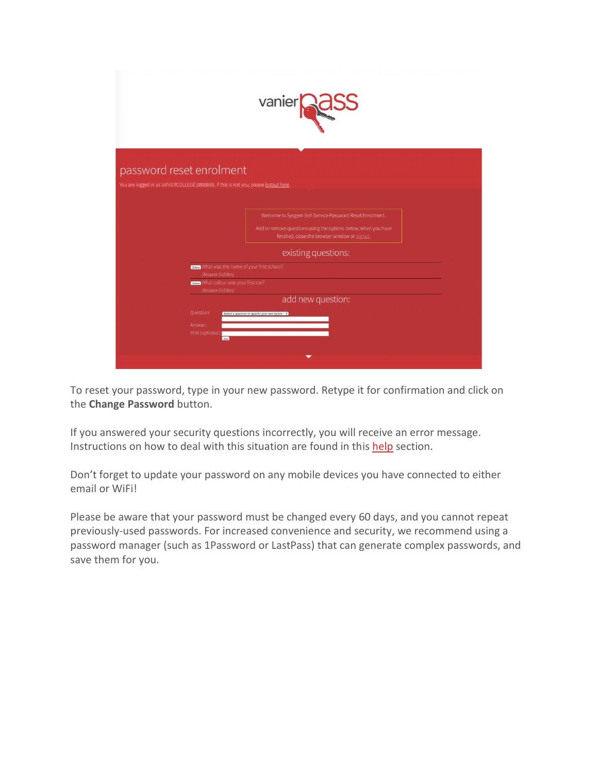|                                                                                                                              | vanier <b>ages</b>                                                                                                                                                                                 |
|------------------------------------------------------------------------------------------------------------------------------|----------------------------------------------------------------------------------------------------------------------------------------------------------------------------------------------------|
| password reset enrolment<br>You are logged in as VANIERCOLLEGE\8888888. If this is not you, please logout here.              |                                                                                                                                                                                                    |
|                                                                                                                              | Welcome to Sysgem Self-Service Password Reset Enrolment.<br>Add or remove questions using the options below; when you have<br>finished, close the browser window or logout.<br>existing questions: |
| Date What was the name of your first school?<br>(Answer hidden)<br>Delete What colour was your first car?<br>(Answer hidden) |                                                                                                                                                                                                    |
| Question:<br>Answer:<br>Hint (optional):<br>Add                                                                              | add new question:<br>Select a question or specify your own below: \$                                                                                                                               |

To reset your password, type in your new password. Retype it for confirmation and click on the **Change Password** button.

If you answered your security questions incorrectly, you will receive an error message. Instructions on how to deal with this situation are found in this [help](https://pass.vaniercollege.qc.ca/#help) section.

Don't forget to update your password on any mobile devices you have connected to either email or WiFi!

Please be aware that your password must be changed every 60 days, and you cannot repeat previously-used passwords. For increased convenience and security, we recommend using a password manager (such as 1Password or LastPass) that can generate complex passwords, and save them for you.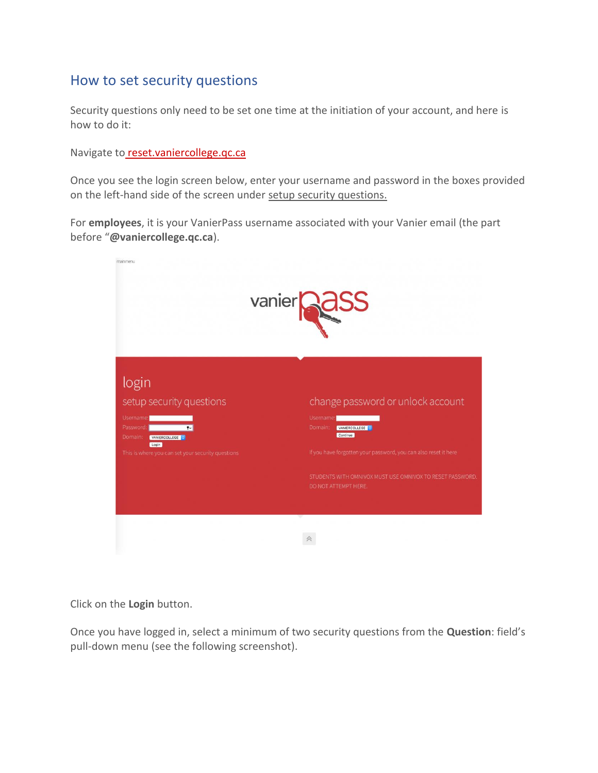## <span id="page-3-0"></span>How to set security questions

Security questions only need to be set one time at the initiation of your account, and here is how to do it:

Navigate to [reset.vaniercollege.qc.ca](http://reset.vaniercollege.qc.ca/)

Once you see the login screen below, enter your username and password in the boxes provided on the left-hand side of the screen under setup security questions.

For **employees**, it is your VanierPass username associated with your Vanier email (the part before "**@vaniercollege.qc.ca**).

|                                                                                                                  | vanier<br>Rass                                                                                                                                       |
|------------------------------------------------------------------------------------------------------------------|------------------------------------------------------------------------------------------------------------------------------------------------------|
| login<br>setup security questions<br>Username:<br>Password:<br>$\mathbf{r}$<br>Domain:<br>VANIERCOLLEGE<br>Login | change password or unlock account<br>Username:<br>Domain:<br>VANIERCOLLEGE<br>Continue                                                               |
| This is where you can set your security questions                                                                | If you have forgotten your password, you can also reset it here<br>STUDENTS WITH OMNIVOX MUST USE OMNIVOX TO RESET PASSWORD.<br>DO NOT ATTEMPT HERE. |
|                                                                                                                  |                                                                                                                                                      |

Click on the **Login** button.

Once you have logged in, select a minimum of two security questions from the **Question**: field's pull-down menu (see the following screenshot).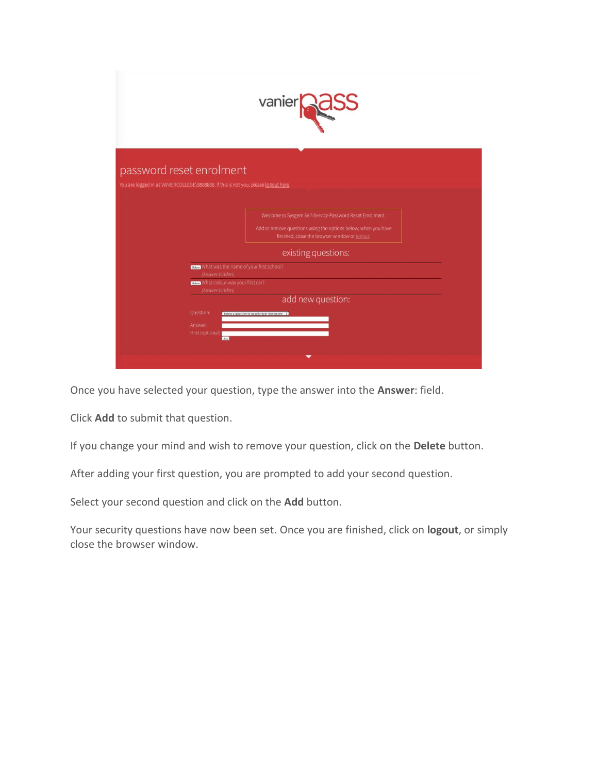|                                                                                                                              | vanier <b>e au</b>                                                                                                                                                                                 |
|------------------------------------------------------------------------------------------------------------------------------|----------------------------------------------------------------------------------------------------------------------------------------------------------------------------------------------------|
| password reset enrolment<br>You are logged in as VANIERCOLLEGE\8888888. If this is not you, please logout here.              |                                                                                                                                                                                                    |
|                                                                                                                              | Welcome to Sysgem Self-Service Password Reset Enrolment.<br>Add or remove questions using the options below; when you have<br>finished, close the browser window or logout.<br>existing questions: |
| Case What was the name of your first school?<br>(Answer hidden)<br>Detete What colour was your first car?<br>(Answer hidden) | add new question:                                                                                                                                                                                  |
| Question:<br>Answer:<br>Hint (optional):<br>Add                                                                              | Select a question or specify your own below: \$                                                                                                                                                    |

Once you have selected your question, type the answer into the **Answer**: field.

Click **Add** to submit that question.

If you change your mind and wish to remove your question, click on the **Delete** button.

After adding your first question, you are prompted to add your second question.

Select your second question and click on the **Add** button.

Your security questions have now been set. Once you are finished, click on **logout**, or simply close the browser window.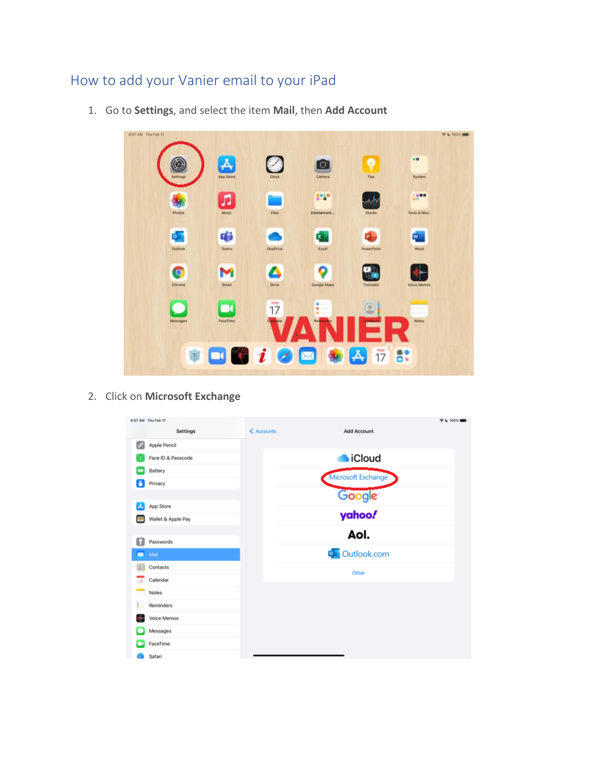## <span id="page-5-0"></span>How to add your Vanier email to your iPad

807 AM Thu Feb 17  $9.4100\%$ Ø o.  $\lambda$  $\bullet$ System  $5.6$  $1000$ л Entertainment, ... Tools & Misc Photos 唯  $\mathbf{x}$ w.  $\circ$ Expel Teams  $\bullet$ Δ  $\bullet$ M Chrome Great Google Maps

 $\frac{100}{17}$ 

 $17<sup>o</sup>$ 

 $|\mathcal{A}|$ 

1. Go to **Settings**, and select the item **Mail**, then **Add Account**

2. Click on **Microsoft Exchange**

Œ

\$

 $\Box$ FaceTime

 $\Box$ 

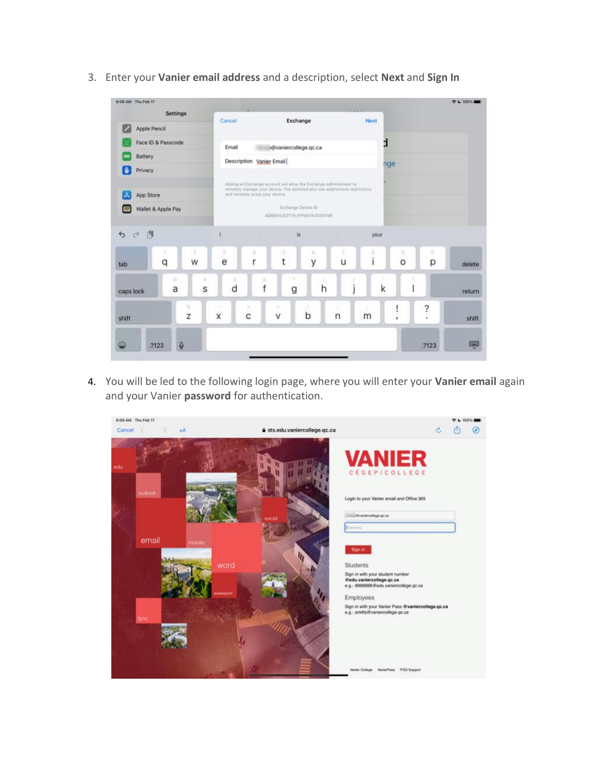

3. Enter your **Vanier email address** and a description, select **Next** and **Sign In**

4. You will be led to the following login page, where you will enter your **Vanier email** again and your Vanier **password** for authentication.